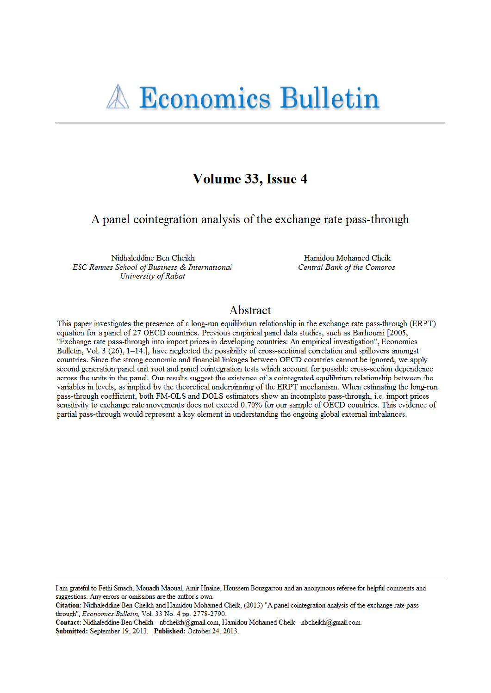# **A Economics Bulletin**

# Volume 33, Issue 4

A panel cointegration analysis of the exchange rate pass-through

Nidhaleddine Ben Cheikh ESC Rennes School of Business & International University of Rabat

Hamidou Mohamed Cheik Central Bank of the Comoros

## Abstract

This paper investigates the presence of a long-run equilibrium relationship in the exchange rate pass-through (ERPT) equation for a panel of 27 OECD countries. Previous empirical panel data studies, such as Barhoumi [2005, "Exchange rate pass-through into import prices in developing countries: An empirical investigation", Economics Bulletin, Vol. 3 (26),  $1-14$ ., have neglected the possibility of cross-sectional correlation and spillovers amongst countries. Since the strong economic and financial linkages between OECD countries cannot be ignored, we apply second generation panel unit root and panel cointegration tests which account for possible cross-section dependence across the units in the panel. Our results suggest the existence of a cointegrated equilibrium relationship between the variables in levels, as implied by the theoretical underpinning of the ERPT mechanism. When estimating the long-run pass-through coefficient, both FM-OLS and DOLS estimators show an incomplete pass-through, i.e. import prices sensitivity to exchange rate movements does not exceed 0.70% for our sample of OECD countries. This evidence of partial pass-through would represent a key element in understanding the ongoing global external imbalances.

I am grateful to Fethi Smach, Mouadh Maoual, Amir Hnaine, Houssem Bouzgarrou and an anonymous referee for helpful comments and suggestions. Any errors or omissions are the author's own.

Citation: Nidhaleddine Ben Cheikh and Hamidou Mohamed Cheik, (2013) "A panel cointegration analysis of the exchange rate passthrough", Economics Bulletin, Vol. 33 No. 4 pp. 2778-2790.

Contact: Nidhaleddine Ben Cheikh - nbcheikh@gmail.com, Hamidou Mohamed Cheik - nbcheikh@gmail.com. Submitted: September 19, 2013. Published: October 24, 2013.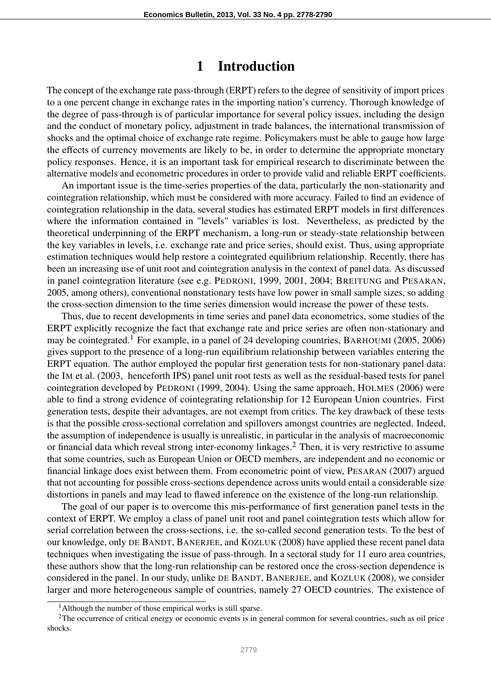## 1 Introduction

The concept of the exchange rate pass-through (ERPT) refers to the degree of sensitivity of import prices to a one percent change in exchange rates in the importing nation's currency. Thorough knowledge of the degree of pass-through is of particular importance for several policy issues, including the design and the conduct of monetary policy, adjustment in trade balances, the international transmission of shocks and the optimal choice of exchange rate regime. Policymakers must be able to gauge how large the effects of currency movements are likely to be, in order to determine the appropriate monetary policy responses. Hence, it is an important task for empirical research to discriminate between the alternative models and econometric procedures in order to provide valid and reliable ERPT coefficients.

An important issue is the time-series properties of the data, particularly the non-stationarity and cointegration relationship, which must be considered with more accuracy. Failed to find an evidence of cointegration relationship in the data, several studies has estimated ERPT models in first differences where the information contained in "levels" variables is lost. Nevertheless, as predicted by the theoretical underpinning of the ERPT mechanism, a long-run or steady-state relationship between the key variables in levels, i.e. exchange rate and price series, should exist. Thus, using appropriate estimation techniques would help restore a cointegrated equilibrium relationship. Recently, there has been an increasing use of unit root and cointegration analysis in the context of panel data. As discussed in panel cointegration literature (see e.g. PEDRONI, 1999, 2001, 2004; BREITUNG and PESARAN, 2005, among others), conventional nonstationary tests have low power in small sample sizes, so adding the cross-section dimension to the time series dimension would increase the power of these tests.

Thus, due to recent developments in time series and panel data econometrics, some studies of the ERPT explicitly recognize the fact that exchange rate and price series are often non-stationary and may be cointegrated.<sup>1</sup> For example, in a panel of 24 developing countries, BARHOUMI (2005, 2006) gives support to the presence of a long-run equilibrium relationship between variables entering the ERPT equation. The author employed the popular first generation tests for non-stationary panel data: the IM et al. (2003, henceforth IPS) panel unit root tests as well as the residual-based tests for panel cointegration developed by PEDRONI (1999, 2004). Using the same approach, HOLMES (2006) were able to find a strong evidence of cointegrating relationship for 12 European Union countries. First generation tests, despite their advantages, are not exempt from critics. The key drawback of these tests is that the possible cross-sectional correlation and spillovers amongst countries are neglected. Indeed, the assumption of independence is usually is unrealistic, in particular in the analysis of macroeconomic or financial data which reveal strong inter-economy linkages.<sup>2</sup> Then, it is very restrictive to assume that some countries, such as European Union or OECD members, are independent and no economic or financial linkage does exist between them. From econometric point of view, PESARAN (2007) argued that not accounting for possible cross-sections dependence across units would entail a considerable size distortions in panels and may lead to flawed inference on the existence of the long-run relationship.

The goal of our paper is to overcome this mis-performance of first generation panel tests in the context of ERPT. We employ a class of panel unit root and panel cointegration tests which allow for serial correlation between the cross-sections, i.e. the so-called second generation tests. To the best of our knowledge, only DE BANDT, BANERJEE, and KOZLUK (2008) have applied these recent panel data techniques when investigating the issue of pass-through. In a sectoral study for 11 euro area countries, these authors show that the long-run relationship can be restored once the cross-section dependence is considered in the panel. In our study, unlike DE BANDT, BANERJEE, and KOZLUK (2008), we consider larger and more heterogeneous sample of countries, namely 27 OECD countries. The existence of

 $<sup>1</sup>$ Although the number of those empirical works is still sparse.</sup>

<sup>&</sup>lt;sup>2</sup>The occurrence of critical energy or economic events is in general common for several countries, such as oil price shocks.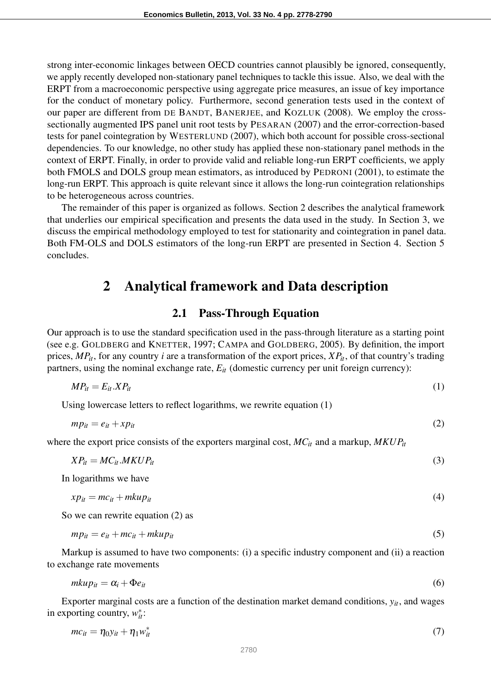strong inter-economic linkages between OECD countries cannot plausibly be ignored, consequently, we apply recently developed non-stationary panel techniques to tackle this issue. Also, we deal with the ERPT from a macroeconomic perspective using aggregate price measures, an issue of key importance for the conduct of monetary policy. Furthermore, second generation tests used in the context of our paper are different from DE BANDT, BANERJEE, and KOZLUK (2008). We employ the crosssectionally augmented IPS panel unit root tests by PESARAN (2007) and the error-correction-based tests for panel cointegration by WESTERLUND (2007), which both account for possible cross-sectional dependencies. To our knowledge, no other study has applied these non-stationary panel methods in the context of ERPT. Finally, in order to provide valid and reliable long-run ERPT coefficients, we apply both FMOLS and DOLS group mean estimators, as introduced by PEDRONI (2001), to estimate the long-run ERPT. This approach is quite relevant since it allows the long-run cointegration relationships to be heterogeneous across countries.

The remainder of this paper is organized as follows. Section 2 describes the analytical framework that underlies our empirical specification and presents the data used in the study. In Section 3, we discuss the empirical methodology employed to test for stationarity and cointegration in panel data. Both FM-OLS and DOLS estimators of the long-run ERPT are presented in Section 4. Section 5 concludes.

## 2 Analytical framework and Data description

### 2.1 Pass-Through Equation

Our approach is to use the standard specification used in the pass-through literature as a starting point (see e.g. GOLDBERG and KNETTER, 1997; CAMPA and GOLDBERG, 2005). By definition, the import prices, *MPit*, for any country *i* are a transformation of the export prices, *XPit*, of that country's trading partners, using the nominal exchange rate,  $E_{it}$  (domestic currency per unit foreign currency):

$$
MP_{it} = E_{it}.XP_{it} \tag{1}
$$

Using lowercase letters to reflect logarithms, we rewrite equation (1)

$$
mp_{it} = e_{it} + xp_{it} \tag{2}
$$

where the export price consists of the exporters marginal cost, *MCit* and a markup, *MKUPit*

$$
XP_{it} = MC_{it}.MKUP_{it} \tag{3}
$$

In logarithms we have

$$
xp_{it} = mc_{it} + mkup_{it} \tag{4}
$$

So we can rewrite equation (2) as

$$
mp_{it} = e_{it} + mc_{it} + mkup_{it}
$$
\n<sup>(5)</sup>

Markup is assumed to have two components: (i) a specific industry component and (ii) a reaction to exchange rate movements

$$
mkup_{it} = \alpha_i + \Phi e_{it} \tag{6}
$$

Exporter marginal costs are a function of the destination market demand conditions, *yit*, and wages in exporting country,  $w_{it}^*$ :

$$
mc_{it} = \eta_0 y_{it} + \eta_1 w_{it}^* \tag{7}
$$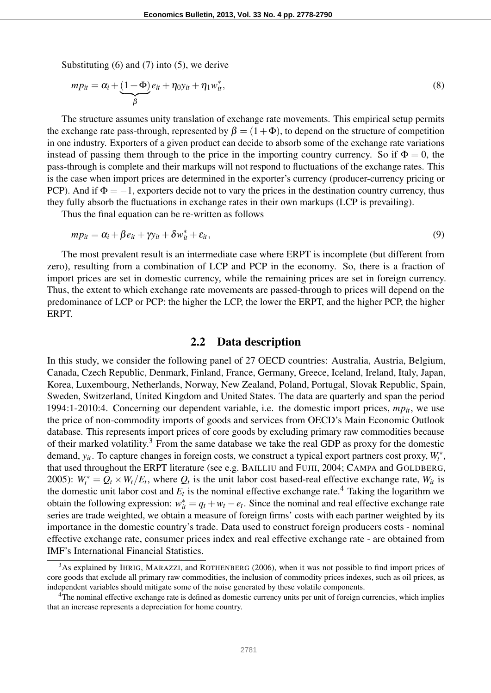Substituting (6) and (7) into (5), we derive

$$
mp_{it} = \alpha_i + \underbrace{(1+\Phi)}_{\beta} e_{it} + \eta_0 y_{it} + \eta_1 w_{it}^*,
$$
\n(8)

The structure assumes unity translation of exchange rate movements. This empirical setup permits the exchange rate pass-through, represented by  $\beta = (1 + \Phi)$ , to depend on the structure of competition in one industry. Exporters of a given product can decide to absorb some of the exchange rate variations instead of passing them through to the price in the importing country currency. So if  $\Phi = 0$ , the pass-through is complete and their markups will not respond to fluctuations of the exchange rates. This is the case when import prices are determined in the exporter's currency (producer-currency pricing or PCP). And if  $\Phi = -1$ , exporters decide not to vary the prices in the destination country currency, thus they fully absorb the fluctuations in exchange rates in their own markups (LCP is prevailing).

Thus the final equation can be re-written as follows

$$
mp_{it} = \alpha_i + \beta e_{it} + \gamma y_{it} + \delta w_{it}^* + \varepsilon_{it},
$$
\n(9)

The most prevalent result is an intermediate case where ERPT is incomplete (but different from zero), resulting from a combination of LCP and PCP in the economy. So, there is a fraction of import prices are set in domestic currency, while the remaining prices are set in foreign currency. Thus, the extent to which exchange rate movements are passed-through to prices will depend on the predominance of LCP or PCP: the higher the LCP, the lower the ERPT, and the higher PCP, the higher ERPT.

#### 2.2 Data description

In this study, we consider the following panel of 27 OECD countries: Australia, Austria, Belgium, Canada, Czech Republic, Denmark, Finland, France, Germany, Greece, Iceland, Ireland, Italy, Japan, Korea, Luxembourg, Netherlands, Norway, New Zealand, Poland, Portugal, Slovak Republic, Spain, Sweden, Switzerland, United Kingdom and United States. The data are quarterly and span the period 1994:1-2010:4. Concerning our dependent variable, i.e. the domestic import prices,  $mp_{it}$ , we use the price of non-commodity imports of goods and services from OECD's Main Economic Outlook database. This represents import prices of core goods by excluding primary raw commodities because of their marked volatility.<sup>3</sup> From the same database we take the real GDP as proxy for the domestic demand,  $y_{it}$ . To capture changes in foreign costs, we construct a typical export partners cost proxy,  $W_t^*$ , that used throughout the ERPT literature (see e.g. BAILLIU and FUJII, 2004; CAMPA and GOLDBERG, 2005):  $W_t^* = Q_t \times W_t / E_t$ , where  $Q_t$  is the unit labor cost based-real effective exchange rate,  $W_{tt}$  is the domestic unit labor cost and  $E_t$  is the nominal effective exchange rate.<sup>4</sup> Taking the logarithm we obtain the following expression:  $w_{it}^* = q_t + w_t - e_t$ . Since the nominal and real effective exchange rate series are trade weighted, we obtain a measure of foreign firms' costs with each partner weighted by its importance in the domestic country's trade. Data used to construct foreign producers costs - nominal effective exchange rate, consumer prices index and real effective exchange rate - are obtained from IMF's International Financial Statistics.

<sup>&</sup>lt;sup>3</sup>As explained by IHRIG, MARAZZI, and ROTHENBERG (2006), when it was not possible to find import prices of core goods that exclude all primary raw commodities, the inclusion of commodity prices indexes, such as oil prices, as independent variables should mitigate some of the noise generated by these volatile components.

<sup>4</sup>The nominal effective exchange rate is defined as domestic currency units per unit of foreign currencies, which implies that an increase represents a depreciation for home country.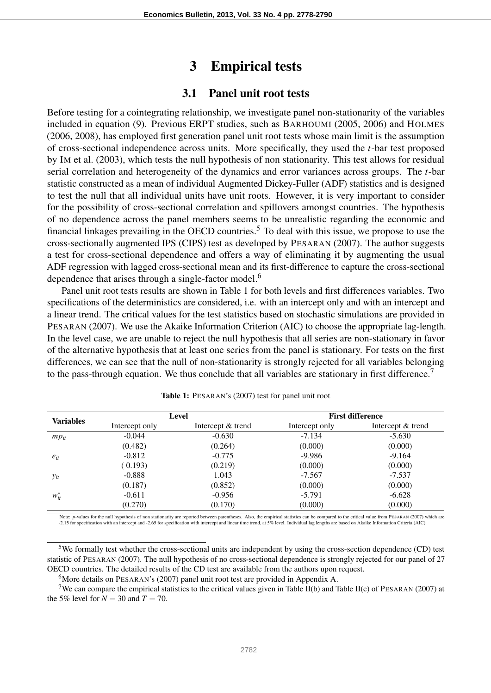## 3 Empirical tests

## 3.1 Panel unit root tests

Before testing for a cointegrating relationship, we investigate panel non-stationarity of the variables included in equation (9). Previous ERPT studies, such as BARHOUMI (2005, 2006) and HOLMES (2006, 2008), has employed first generation panel unit root tests whose main limit is the assumption of cross-sectional independence across units. More specifically, they used the *t*-bar test proposed by IM et al. (2003), which tests the null hypothesis of non stationarity. This test allows for residual serial correlation and heterogeneity of the dynamics and error variances across groups. The *t*-bar statistic constructed as a mean of individual Augmented Dickey-Fuller (ADF) statistics and is designed to test the null that all individual units have unit roots. However, it is very important to consider for the possibility of cross-sectional correlation and spillovers amongst countries. The hypothesis of no dependence across the panel members seems to be unrealistic regarding the economic and financial linkages prevailing in the OECD countries.<sup>5</sup> To deal with this issue, we propose to use the cross-sectionally augmented IPS (CIPS) test as developed by PESARAN (2007). The author suggests a test for cross-sectional dependence and offers a way of eliminating it by augmenting the usual ADF regression with lagged cross-sectional mean and its first-difference to capture the cross-sectional dependence that arises through a single-factor model.<sup>6</sup>

Panel unit root tests results are shown in Table 1 for both levels and first differences variables. Two specifications of the deterministics are considered, i.e. with an intercept only and with an intercept and a linear trend. The critical values for the test statistics based on stochastic simulations are provided in PESARAN (2007). We use the Akaike Information Criterion (AIC) to choose the appropriate lag-length. In the level case, we are unable to reject the null hypothesis that all series are non-stationary in favor of the alternative hypothesis that at least one series from the panel is stationary. For tests on the first differences, we can see that the null of non-stationarity is strongly rejected for all variables belonging to the pass-through equation. We thus conclude that all variables are stationary in first difference.<sup>7</sup>

| <b>Variables</b> | Level          |                   | <b>First difference</b> |                   |
|------------------|----------------|-------------------|-------------------------|-------------------|
|                  | Intercept only | Intercept & trend | Intercept only          | Intercept & trend |
| $mp_{it}$        | $-0.044$       | $-0.630$          | $-7.134$                | $-5.630$          |
|                  | (0.482)        | (0.264)           | (0.000)                 | (0.000)           |
| $e_{it}$         | $-0.812$       | $-0.775$          | -9.986                  | $-9.164$          |
|                  | (0.193)        | (0.219)           | (0.000)                 | (0.000)           |
| $y_{it}$         | $-0.888$       | 1.043             | $-7.567$                | $-7.537$          |
|                  | (0.187)        | (0.852)           | (0.000)                 | (0.000)           |
| $w_{it}^*$       | $-0.611$       | $-0.956$          | -5.791                  | $-6.628$          |
|                  | (0.270)        | (0.170)           | (0.000)                 | (0.000)           |

Note: *p*-values for the null hypothesis of non stationarity are reported between parentheses. Also, the empirical statistics can be compared to the critical value from PESARAN (2007) which are -2.15 for specification with an intercept and -2.65 for specification with intercept and linear time trend, at 5% level. Individual lag lengths are based on Akaike Information Criteria (AIC).

<sup>7</sup>We can compare the empirical statistics to the critical values given in Table II(b) and Table II(c) of PESARAN (2007) at the 5% level for  $N = 30$  and  $T = 70$ .

<sup>5</sup>We formally test whether the cross-sectional units are independent by using the cross-section dependence (CD) test statistic of PESARAN (2007). The null hypothesis of no cross-sectional dependence is strongly rejected for our panel of 27 OECD countries. The detailed results of the CD test are available from the authors upon request.

<sup>&</sup>lt;sup>6</sup>More details on PESARAN's (2007) panel unit root test are provided in Appendix A.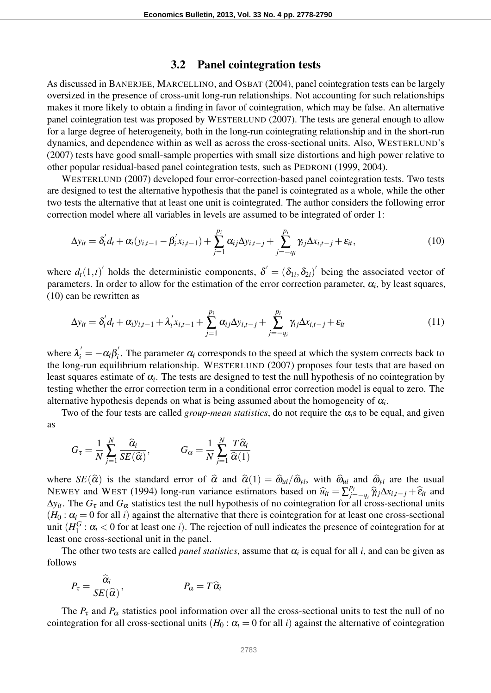#### 3.2 Panel cointegration tests

As discussed in BANERJEE, MARCELLINO, and OSBAT (2004), panel cointegration tests can be largely oversized in the presence of cross-unit long-run relationships. Not accounting for such relationships makes it more likely to obtain a finding in favor of cointegration, which may be false. An alternative panel cointegration test was proposed by WESTERLUND (2007). The tests are general enough to allow for a large degree of heterogeneity, both in the long-run cointegrating relationship and in the short-run dynamics, and dependence within as well as across the cross-sectional units. Also, WESTERLUND's (2007) tests have good small-sample properties with small size distortions and high power relative to other popular residual-based panel cointegration tests, such as PEDRONI (1999, 2004).

WESTERLUND (2007) developed four error-correction-based panel cointegration tests. Two tests are designed to test the alternative hypothesis that the panel is cointegrated as a whole, while the other two tests the alternative that at least one unit is cointegrated. The author considers the following error correction model where all variables in levels are assumed to be integrated of order 1:

$$
\Delta y_{it} = \delta'_i d_t + \alpha_i (y_{i,t-1} - \beta'_i x_{i,t-1}) + \sum_{j=1}^{p_i} \alpha_{ij} \Delta y_{i,t-j} + \sum_{j=-q_i}^{p_i} \gamma_{ij} \Delta x_{i,t-j} + \varepsilon_{it},
$$
\n(10)

where  $d_t(1,t)$  holds the deterministic components,  $\delta' = (\delta_{1i}, \delta_{2i})$  being the associated vector of parameters. In order to allow for the estimation of the error correction parameter,  $\alpha_i$ , by least squares, (10) can be rewritten as

$$
\Delta y_{it} = \delta'_i d_t + \alpha_i y_{i,t-1} + \lambda'_i x_{i,t-1} + \sum_{j=1}^{p_i} \alpha_{ij} \Delta y_{i,t-j} + \sum_{j=-q_i}^{p_i} \gamma_{ij} \Delta x_{i,t-j} + \varepsilon_{it}
$$
\n(11)

where  $\lambda_i' = -\alpha_i \beta_i'$  $\mathbf{a}_i$ . The parameter  $\alpha_i$  corresponds to the speed at which the system corrects back to the long-run equilibrium relationship. WESTERLUND (2007) proposes four tests that are based on least squares estimate of  $\alpha_i$ . The tests are designed to test the null hypothesis of no cointegration by testing whether the error correction term in a conditional error correction model is equal to zero. The alternative hypothesis depends on what is being assumed about the homogeneity of  $\alpha_i$ .

Two of the four tests are called *group-mean statistics*, do not require the  $\alpha_i$ s to be equal, and given as

$$
G_{\tau} = \frac{1}{N} \sum_{j=1}^{N} \frac{\widehat{\alpha}_i}{SE(\widehat{\alpha})}, \qquad G_{\alpha} = \frac{1}{N} \sum_{j=1}^{N} \frac{T \widehat{\alpha}_i}{\widehat{\alpha}(1)}
$$

where  $SE(\hat{\alpha})$  is the standard error of  $\hat{\alpha}$  and  $\hat{\alpha}(1) = \hat{\omega}_{ui}/\hat{\omega}_{yi}$ , with  $\hat{\omega}_{ui}$  and  $\hat{\omega}_{yi}$  are the usual NEWEY and WEST (1994) long-run variance estimators based on  $\hat{u}_{it} = \sum_{j=1}^{p_i} p_{it}$ <br>And *C* and *C* estimators test the pull hypothesis of no cointegration for  $f$  $\hat{e}^{p_i}_{j=-q_i} \hat{\mathcal{U}}_j \Delta x_{i,t-j} + \hat{\epsilon}_{it}$  and  $\Delta y_i$ . The  $G_\tau$  and  $G_\alpha$  statistics test the null hypothesis of no cointegration for all cross-sectional units  $(H_0: \alpha_i = 0$  for all *i*) against the alternative that there is cointegration for at least one cross-sectional unit  $(H_1^G)$  $\frac{1}{1}$  :  $\alpha_i$  < 0 for at least one *i*). The rejection of null indicates the presence of cointegration for at least one cross-sectional unit in the panel.

The other two tests are called *panel statistics*, assume that  $\alpha_i$  is equal for all *i*, and can be given as follows

$$
P_{\tau} = \frac{\widehat{\alpha}_i}{SE(\widehat{\alpha})}, \qquad P_{\alpha} = T\widehat{\alpha}_i
$$

The  $P_{\tau}$  and  $P_{\alpha}$  statistics pool information over all the cross-sectional units to test the null of no cointegration for all cross-sectional units  $(H_0: \alpha_i = 0$  for all *i*) against the alternative of cointegration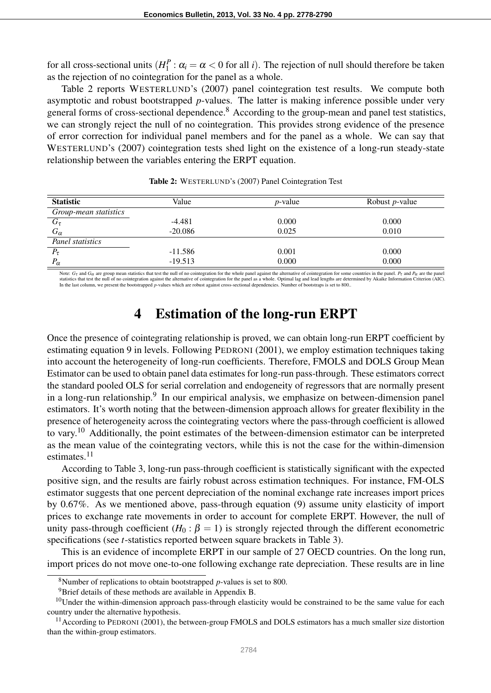for all cross-sectional units (*H P*  $1<sup>P</sup>$  :  $\alpha<sub>i</sub> = \alpha < 0$  for all *i*). The rejection of null should therefore be taken as the rejection of no cointegration for the panel as a whole.

Table 2 reports WESTERLUND's (2007) panel cointegration test results. We compute both asymptotic and robust bootstrapped *p*-values. The latter is making inference possible under very general forms of cross-sectional dependence.<sup>8</sup> According to the group-mean and panel test statistics, we can strongly reject the null of no cointegration. This provides strong evidence of the presence of error correction for individual panel members and for the panel as a whole. We can say that WESTERLUND's (2007) cointegration tests shed light on the existence of a long-run steady-state relationship between the variables entering the ERPT equation.

| <b>Statistic</b>      | Value     | $p$ -value | Robust <i>p</i> -value |
|-----------------------|-----------|------------|------------------------|
| Group-mean statistics |           |            |                        |
| $G_{\tau}$            | $-4.481$  | 0.000      | 0.000                  |
| $G_{\alpha}$          | $-20.086$ | 0.025      | 0.010                  |
| Panel statistics      |           |            |                        |
| $P_{\tau}$            | $-11.586$ | 0.001      | 0.000                  |
| $P_{\alpha}$          | $-19.513$ | 0.000      | 0.000                  |

Table 2: WESTERLUND's (2007) Panel Cointegration Test

Note:  $G_{\tau}$  and  $G_{\alpha}$  are group mean statistics that test the null of no cointegration for the whole panel against the alternative of cointegration for some countries in the panel.  $P_{\tau}$  and  $P_{\alpha}$  are the panel statistics that test the null of no cointegration against the alternative of cointegration for the panel as a whole. Optimal lag and lead lengths are determined by Akaike Information Criterion (AIC). In the last column, we present the bootstrapped *p*-values which are robust against cross-sectional dependencies. Number of bootstraps is set to 800..

# 4 Estimation of the long-run ERPT

Once the presence of cointegrating relationship is proved, we can obtain long-run ERPT coefficient by estimating equation 9 in levels. Following PEDRONI (2001), we employ estimation techniques taking into account the heterogeneity of long-run coefficients. Therefore, FMOLS and DOLS Group Mean Estimator can be used to obtain panel data estimates for long-run pass-through. These estimators correct the standard pooled OLS for serial correlation and endogeneity of regressors that are normally present in a long-run relationship.<sup>9</sup> In our empirical analysis, we emphasize on between-dimension panel estimators. It's worth noting that the between-dimension approach allows for greater flexibility in the presence of heterogeneity across the cointegrating vectors where the pass-through coefficient is allowed to vary.<sup>10</sup> Additionally, the point estimates of the between-dimension estimator can be interpreted as the mean value of the cointegrating vectors, while this is not the case for the within-dimension estimates.<sup>11</sup>

According to Table 3, long-run pass-through coefficient is statistically significant with the expected positive sign, and the results are fairly robust across estimation techniques. For instance, FM-OLS estimator suggests that one percent depreciation of the nominal exchange rate increases import prices by 0.67%. As we mentioned above, pass-through equation (9) assume unity elasticity of import prices to exchange rate movements in order to account for complete ERPT. However, the null of unity pass-through coefficient  $(H_0: \beta = 1)$  is strongly rejected through the different econometric specifications (see *t*-statistics reported between square brackets in Table 3).

This is an evidence of incomplete ERPT in our sample of 27 OECD countries. On the long run, import prices do not move one-to-one following exchange rate depreciation. These results are in line

<sup>8</sup>Number of replications to obtain bootstrapped *p*-values is set to 800.

<sup>&</sup>lt;sup>9</sup>Brief details of these methods are available in Appendix B.

 $10$ Under the within-dimension approach pass-through elasticity would be constrained to be the same value for each country under the alternative hypothesis.

 $11$  According to PEDRONI (2001), the between-group FMOLS and DOLS estimators has a much smaller size distortion than the within-group estimators.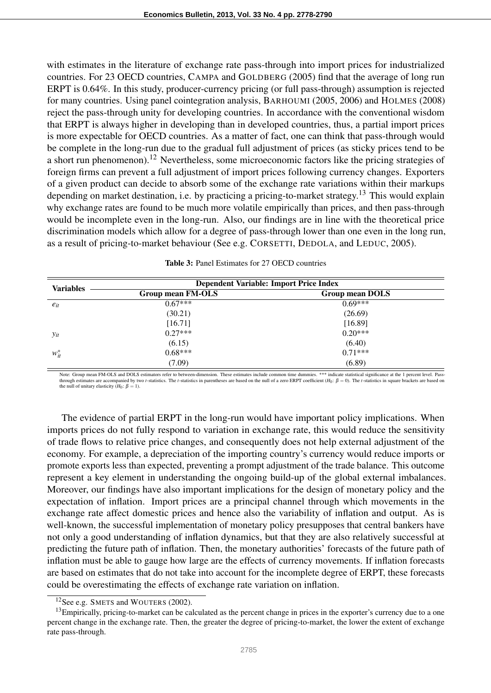with estimates in the literature of exchange rate pass-through into import prices for industrialized countries. For 23 OECD countries, CAMPA and GOLDBERG (2005) find that the average of long run ERPT is 0.64%. In this study, producer-currency pricing (or full pass-through) assumption is rejected for many countries. Using panel cointegration analysis, BARHOUMI (2005, 2006) and HOLMES (2008) reject the pass-through unity for developing countries. In accordance with the conventional wisdom that ERPT is always higher in developing than in developed countries, thus, a partial import prices is more expectable for OECD countries. As a matter of fact, one can think that pass-through would be complete in the long-run due to the gradual full adjustment of prices (as sticky prices tend to be a short run phenomenon).<sup>12</sup> Nevertheless, some microeconomic factors like the pricing strategies of foreign firms can prevent a full adjustment of import prices following currency changes. Exporters of a given product can decide to absorb some of the exchange rate variations within their markups depending on market destination, i.e. by practicing a pricing-to-market strategy.<sup>13</sup> This would explain why exchange rates are found to be much more volatile empirically than prices, and then pass-through would be incomplete even in the long-run. Also, our findings are in line with the theoretical price discrimination models which allow for a degree of pass-through lower than one even in the long run, as a result of pricing-to-market behaviour (See e.g. CORSETTI, DEDOLA, and LEDUC, 2005).

| <b>Variables</b> | <b>Dependent Variable: Import Price Index</b> |                        |  |  |
|------------------|-----------------------------------------------|------------------------|--|--|
|                  | Group mean FM-OLS                             | <b>Group mean DOLS</b> |  |  |
| $e_{it}$         | $0.67***$                                     | $0.69***$              |  |  |
|                  | (30.21)                                       | (26.69)                |  |  |
|                  | [16.71]                                       | [16.89]                |  |  |
| $y_{it}$         | $0.27***$                                     | $0.20***$              |  |  |
|                  | (6.15)                                        | (6.40)                 |  |  |
| $w_{it}^*$       | $0.68***$                                     | $0.71***$              |  |  |
|                  | (7.09)                                        | (6.89)                 |  |  |

| <b>Table 3:</b> Panel Estimates for 27 OECD countries |  |
|-------------------------------------------------------|--|
|-------------------------------------------------------|--|

Note: Group mean FM-OLS and DOLS estimators refer to between-dimension. These estimates include common time dummies. \*\*\* indicate statistical significance at the 1 percent level. Passthrough estimates are accompanied by two *t*-statistics. The *t*-statistics in parentheses are based on the null of a zero ERPT coefficient  $(H_0: \beta = 0)$ . The *t*-statistics in square brackets are based on the null of unitary elasticity  $(H_0: \beta = 1)$ .

The evidence of partial ERPT in the long-run would have important policy implications. When imports prices do not fully respond to variation in exchange rate, this would reduce the sensitivity of trade flows to relative price changes, and consequently does not help external adjustment of the economy. For example, a depreciation of the importing country's currency would reduce imports or promote exports less than expected, preventing a prompt adjustment of the trade balance. This outcome represent a key element in understanding the ongoing build-up of the global external imbalances. Moreover, our findings have also important implications for the design of monetary policy and the expectation of inflation. Import prices are a principal channel through which movements in the exchange rate affect domestic prices and hence also the variability of inflation and output. As is well-known, the successful implementation of monetary policy presupposes that central bankers have not only a good understanding of inflation dynamics, but that they are also relatively successful at predicting the future path of inflation. Then, the monetary authorities' forecasts of the future path of inflation must be able to gauge how large are the effects of currency movements. If inflation forecasts are based on estimates that do not take into account for the incomplete degree of ERPT, these forecasts could be overestimating the effects of exchange rate variation on inflation.

<sup>&</sup>lt;sup>12</sup>See e.g. SMETS and WOUTERS (2002).

<sup>&</sup>lt;sup>13</sup>Empirically, pricing-to-market can be calculated as the percent change in prices in the exporter's currency due to a one percent change in the exchange rate. Then, the greater the degree of pricing-to-market, the lower the extent of exchange rate pass-through.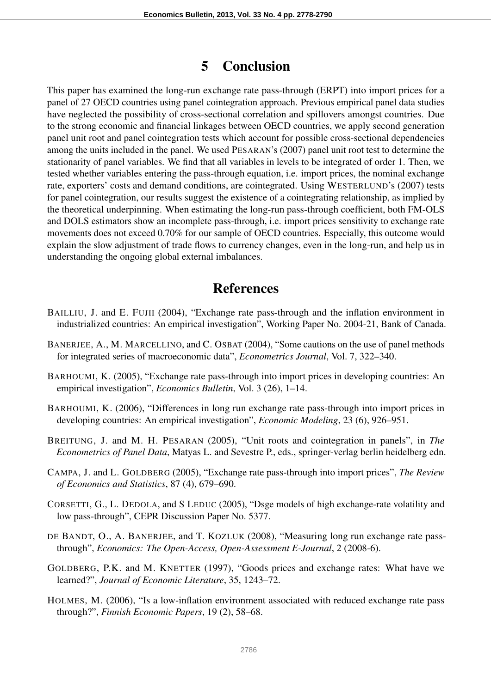## 5 Conclusion

This paper has examined the long-run exchange rate pass-through (ERPT) into import prices for a panel of 27 OECD countries using panel cointegration approach. Previous empirical panel data studies have neglected the possibility of cross-sectional correlation and spillovers amongst countries. Due to the strong economic and financial linkages between OECD countries, we apply second generation panel unit root and panel cointegration tests which account for possible cross-sectional dependencies among the units included in the panel. We used PESARAN's (2007) panel unit root test to determine the stationarity of panel variables. We find that all variables in levels to be integrated of order 1. Then, we tested whether variables entering the pass-through equation, i.e. import prices, the nominal exchange rate, exporters' costs and demand conditions, are cointegrated. Using WESTERLUND's (2007) tests for panel cointegration, our results suggest the existence of a cointegrating relationship, as implied by the theoretical underpinning. When estimating the long-run pass-through coefficient, both FM-OLS and DOLS estimators show an incomplete pass-through, i.e. import prices sensitivity to exchange rate movements does not exceed 0.70% for our sample of OECD countries. Especially, this outcome would explain the slow adjustment of trade flows to currency changes, even in the long-run, and help us in understanding the ongoing global external imbalances.

# References

- BAILLIU, J. and E. FUJII (2004), "Exchange rate pass-through and the inflation environment in industrialized countries: An empirical investigation", Working Paper No. 2004-21, Bank of Canada.
- BANERJEE, A., M. MARCELLINO, and C. OSBAT (2004), "Some cautions on the use of panel methods for integrated series of macroeconomic data", *Econometrics Journal*, Vol. 7, 322–340.
- BARHOUMI, K. (2005), "Exchange rate pass-through into import prices in developing countries: An empirical investigation", *Economics Bulletin*, Vol. 3 (26), 1–14.
- BARHOUMI, K. (2006), "Differences in long run exchange rate pass-through into import prices in developing countries: An empirical investigation", *Economic Modeling*, 23 (6), 926–951.
- BREITUNG, J. and M. H. PESARAN (2005), "Unit roots and cointegration in panels", in *The Econometrics of Panel Data*, Matyas L. and Sevestre P., eds., springer-verlag berlin heidelberg edn.
- CAMPA, J. and L. GOLDBERG (2005), "Exchange rate pass-through into import prices", *The Review of Economics and Statistics*, 87 (4), 679–690.
- CORSETTI, G., L. DEDOLA, and S LEDUC (2005), "Dsge models of high exchange-rate volatility and low pass-through", CEPR Discussion Paper No. 5377.
- DE BANDT, O., A. BANERJEE, and T. KOZLUK (2008), "Measuring long run exchange rate passthrough", *Economics: The Open-Access, Open-Assessment E-Journal*, 2 (2008-6).
- GOLDBERG, P.K. and M. KNETTER (1997), "Goods prices and exchange rates: What have we learned?", *Journal of Economic Literature*, 35, 1243–72.
- HOLMES, M. (2006), "Is a low-inflation environment associated with reduced exchange rate pass through?", *Finnish Economic Papers*, 19 (2), 58–68.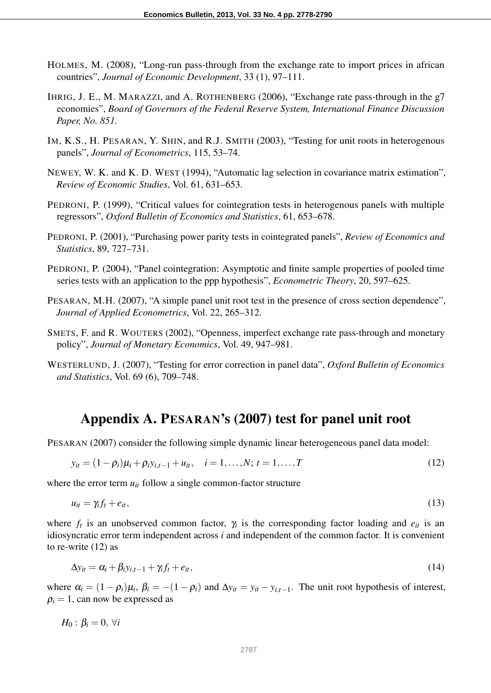- HOLMES, M. (2008), "Long-run pass-through from the exchange rate to import prices in african countries", *Journal of Economic Development*, 33 (1), 97–111.
- IHRIG, J. E., M. MARAZZI, and A. ROTHENBERG (2006), "Exchange rate pass-through in the g7 economies", *Board of Governors of the Federal Reserve System, International Finance Discussion Paper, No. 851.*
- IM, K.S., H. PESARAN, Y. SHIN, and R.J. SMITH (2003), "Testing for unit roots in heterogenous panels", *Journal of Econometrics*, 115, 53–74.
- NEWEY, W. K. and K. D. WEST (1994), "Automatic lag selection in covariance matrix estimation", *Review of Economic Studies*, Vol. 61, 631–653.
- PEDRONI, P. (1999), "Critical values for cointegration tests in heterogenous panels with multiple regressors", *Oxford Bulletin of Economics and Statistics*, 61, 653–678.
- PEDRONI, P. (2001), "Purchasing power parity tests in cointegrated panels", *Review of Economics and Statistics*, 89, 727–731.
- PEDRONI, P. (2004), "Panel cointegration: Asymptotic and finite sample properties of pooled time series tests with an application to the ppp hypothesis", *Econometric Theory*, 20, 597–625.
- PESARAN, M.H. (2007), "A simple panel unit root test in the presence of cross section dependence", *Journal of Applied Econometrics*, Vol. 22, 265–312.
- SMETS, F. and R. WOUTERS (2002), "Openness, imperfect exchange rate pass-through and monetary policy", *Journal of Monetary Economics*, Vol. 49, 947–981.
- WESTERLUND, J. (2007), "Testing for error correction in panel data", *Oxford Bulletin of Economics and Statistics*, Vol. 69 (6), 709–748.

## Appendix A. PESARAN's (2007) test for panel unit root

PESARAN (2007) consider the following simple dynamic linear heterogeneous panel data model:

$$
y_{it} = (1 - \rho_i)\mu_i + \rho_i y_{i,t-1} + u_{it}, \quad i = 1, \dots, N; t = 1, \dots, T
$$
\n(12)

where the error term  $u_{it}$  follow a single common-factor structure

$$
u_{it} = \gamma_i f_t + e_{it},\tag{13}
$$

where  $f_t$  is an unobserved common factor,  $\gamma_i$  is the corresponding factor loading and  $e_{it}$  is an idiosyncratic error term independent across *i* and independent of the common factor. It is convenient to re-write (12) as

$$
\Delta y_{it} = \alpha_i + \beta_i y_{i,t-1} + \gamma_i f_t + e_{it},\tag{14}
$$

where  $\alpha_i = (1 - \rho_i)\mu_i$ ,  $\beta_i = -(1 - \rho_i)$  and  $\Delta y_{it} = y_{it} - y_{i,t-1}$ . The unit root hypothesis of interest,  $\rho_i = 1$ , can now be expressed as

 $H_0$  :  $\beta_i = 0$ ,  $\forall i$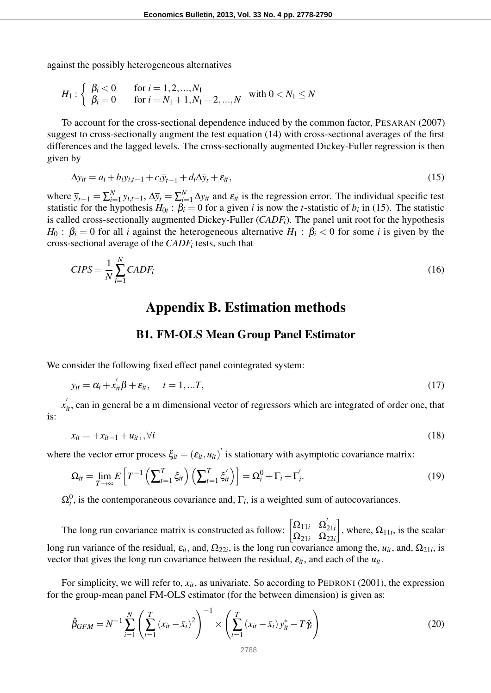against the possibly heterogeneous alternatives

$$
H_1: \left\{\begin{array}{ll} \beta_i < 0 & \text{for } i = 1, 2, ..., N_1 \\ \beta_i = 0 & \text{for } i = N_1 + 1, N_1 + 2, ..., N \end{array} \right. \text{ with } 0 < N_1 \le N
$$

To account for the cross-sectional dependence induced by the common factor, PESARAN (2007) suggest to cross-sectionally augment the test equation (14) with cross-sectional averages of the first differences and the lagged levels. The cross-sectionally augmented Dickey-Fuller regression is then given by

$$
\Delta y_{it} = a_i + b_i y_{i,t-1} + c_i \overline{y}_{t-1} + d_i \Delta \overline{y}_t + \varepsilon_{it},
$$
\n(15)

where  $\bar{y}_{t-1} = \sum_{i=1}^{N}$ *N*<sub>*i*=1</sub> *y<sub>i</sub>*,*t*−1,  $\Delta \bar{y}_t = \sum_{i=1}^N \Delta y_{it}$  and  $\varepsilon_{it}$  is the regression error. The individual specific test statistic for the hypothesis  $H_{0i}$ :  $\beta_i = 0$  for a given *i* is now the *t*-statistic of  $b_i$  in (15). The statistic is called cross-sectionally augmented Dickey-Fuller (*CADFi*). The panel unit root for the hypothesis *H*<sub>0</sub> :  $\beta_i = 0$  for all *i* against the heterogeneous alternative *H*<sub>1</sub> :  $\beta_i < 0$  for some *i* is given by the cross-sectional average of the *CADF<sup>i</sup>* tests, such that

$$
CIPS = \frac{1}{N} \sum_{i=1}^{N} CADF_i
$$
\n(16)

## Appendix B. Estimation methods

#### B1. FM-OLS Mean Group Panel Estimator

We consider the following fixed effect panel cointegrated system:

$$
y_{it} = \alpha_i + x_{it}'\beta + \varepsilon_{it}, \quad t = 1,...T,
$$
\n
$$
(17)
$$

 $x'_{it}$ , can in general be a m dimensional vector of regressors which are integrated of order one, that is:

$$
x_{it} = +x_{it-1} + u_{it}, \forall i
$$
 (18)

where the vector error process  $\xi_{it} = (\varepsilon_{it}, u_{it})'$  is stationary with asymptotic covariance matrix:

$$
\Omega_{it} = \lim_{T \to \infty} E\left[T^{-1}\left(\sum_{t=1}^T \xi_{it}\right)\left(\sum_{t=1}^T \xi'_{it}\right)\right] = \Omega_i^0 + \Gamma_i + \Gamma_i'.
$$
\n(19)

 $\Omega_i^0$ , is the contemporaneous covariance and,  $\Gamma_i$ , is a weighted sum of autocovariances.

The long run covariance matrix is constructed as follow:  $\begin{bmatrix} \Omega_{11i} & \Omega'_{2i} \\ \Omega_{21i} & \Omega'_{2i} \end{bmatrix}$ 21*i*  $Ω<sub>21*i*</sub>$  Ω<sub>22*i*</sub> 1 , where,  $\Omega_{11i}$ , is the scalar long run variance of the residual,  $\varepsilon_{it}$ , and,  $\Omega_{22i}$ , is the long run covariance among the,  $u_{it}$ , and,  $\Omega_{21i}$ , is vector that gives the long run covariance between the residual, ε*it*, and each of the *uit*.

For simplicity, we will refer to,  $x_{it}$ , as univariate. So according to PEDRONI (2001), the expression for the group-mean panel FM-OLS estimator (for the between dimension) is given as:

$$
\hat{\beta}_{GFM} = N^{-1} \sum_{i=1}^{N} \left( \sum_{t=1}^{T} \left( x_{it} - \bar{x}_{i} \right)^{2} \right)^{-1} \times \left( \sum_{t=1}^{T} \left( x_{it} - \bar{x}_{i} \right) y_{it}^{*} - T \hat{\gamma}_{i} \right)
$$
(20)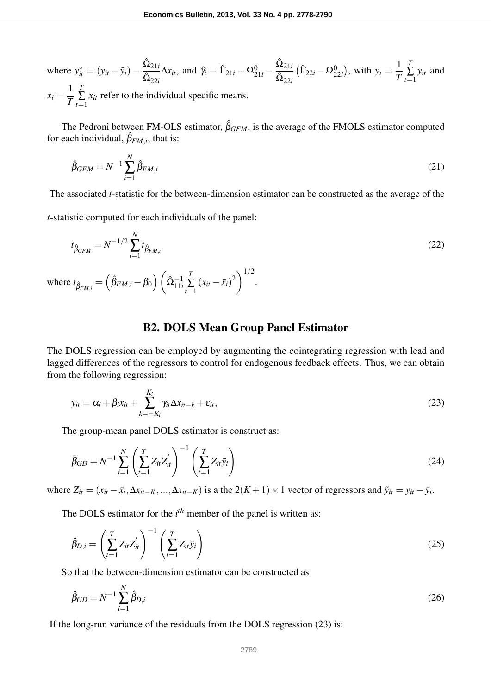where  $y_{it}^{*} = (y_{it} - \bar{y}_i) \hat{\Omega}_{21i}$  $\hat{\Omega}_{22i}$  $\Delta x_{it}$ , and  $\hat{\gamma}_i \equiv \hat{\Gamma}_{21i} - \Omega_{21i}^0$  –  $\hat{\Omega}_{21i}$  $\hat{\Omega}_{22i}$  $(\hat{\Gamma}_{22i} - \Omega_{22i}^0)$ , with  $y_i = \frac{1}{7}$ *T T*  $\sum_{t=1}$ *yit* and  $x_i = \frac{1}{T}$ *T T*  $\sum_{t=1}$ *xit* refer to the individual specific means.

The Pedroni between FM-OLS estimator,  $\hat{\beta}_{GFM}$ , is the average of the FMOLS estimator computed for each individual,  $\hat{\beta}_{FM,i}$ , that is:

$$
\hat{\beta}_{GFM} = N^{-1} \sum_{i=1}^{N} \hat{\beta}_{FM,i} \tag{21}
$$

The associated *t*-statistic for the between-dimension estimator can be constructed as the average of the

*t*-statistic computed for each individuals of the panel:

$$
t_{\hat{\beta}_{GFM}} = N^{-1/2} \sum_{i=1}^{N} t_{\hat{\beta}_{FM,i}} \tag{22}
$$

where  $t_{\hat{\beta}_{FM,i}} = \left(\hat{\beta}_{FM,i} - \beta_0\right) \left(\hat{\Omega}_{11i}^{-1}\right)$ *T*  $\sum_{t=1}$  $(x_{it} - \bar{x}_i)^2\bigg)^{1/2}$ .

#### B2. DOLS Mean Group Panel Estimator

The DOLS regression can be employed by augmenting the cointegrating regression with lead and lagged differences of the regressors to control for endogenous feedback effects. Thus, we can obtain from the following regression:

$$
y_{it} = \alpha_i + \beta_i x_{it} + \sum_{k=-K_i}^{K_i} \gamma_{it} \Delta x_{it-k} + \varepsilon_{it},
$$
\n(23)

The group-mean panel DOLS estimator is construct as:

$$
\hat{\beta}_{GD} = N^{-1} \sum_{i=1}^{N} \left( \sum_{t=1}^{T} Z_{it} Z_{it}' \right)^{-1} \left( \sum_{t=1}^{T} Z_{it} \tilde{y}_i \right)
$$
(24)

where  $Z_{it} = (x_{it} - \bar{x}_i, \Delta x_{it-K}, ..., \Delta x_{it-K})$  is a the  $2(K+1) \times 1$  vector of regressors and  $\tilde{y}_{it} = y_{it} - \bar{y}_i$ .

The DOLS estimator for the  $i<sup>th</sup>$  member of the panel is written as:

$$
\hat{\beta}_{D,i} = \left(\sum_{t=1}^{T} Z_{it} Z_{it}'\right)^{-1} \left(\sum_{t=1}^{T} Z_{it} \tilde{y}_i\right)
$$
\n(25)

So that the between-dimension estimator can be constructed as

$$
\hat{\beta}_{GD} = N^{-1} \sum_{i=1}^{N} \hat{\beta}_{D,i} \tag{26}
$$

If the long-run variance of the residuals from the DOLS regression (23) is: